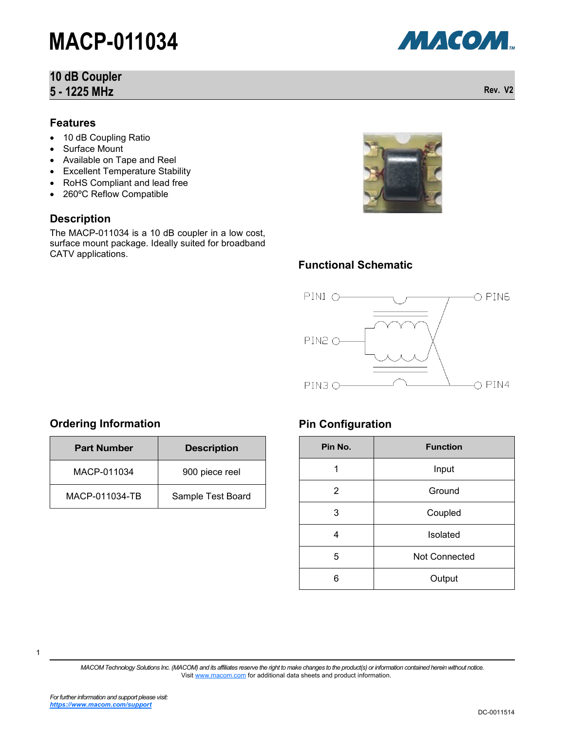## **10 dB Coupler 5 - 1225 MHz**

#### **Features**

- 10 dB Coupling Ratio
- Surface Mount
- Available on Tape and Reel
- Excellent Temperature Stability
- RoHS Compliant and lead free
- 260°C Reflow Compatible

### **Description**

The MACP-011034 is a 10 dB coupler in a low cost, surface mount package. Ideally suited for broadband CATV applications.



### **Functional Schematic**



### **Ordering Information**

| <b>Part Number</b> | <b>Description</b> |  |
|--------------------|--------------------|--|
| MACP-011034        | 900 piece reel     |  |
| MACP-011034-TB     | Sample Test Board  |  |

### **Pin Configuration**

| Pin No.        | <b>Function</b>      |  |  |
|----------------|----------------------|--|--|
| 1              | Input                |  |  |
| $\overline{2}$ | Ground               |  |  |
| 3              | Coupled              |  |  |
| 4              | Isolated             |  |  |
| 5              | <b>Not Connected</b> |  |  |
| 6              | Output               |  |  |

*MACOM Technology Solutions Inc. (MACOM) and its affiliates reserve the right to make changes to the product(s) or information contained herein without notice.*  Visit [www.macom.com](http://www.macom.com/) for additional data sheets and product information.



**Rev. V2**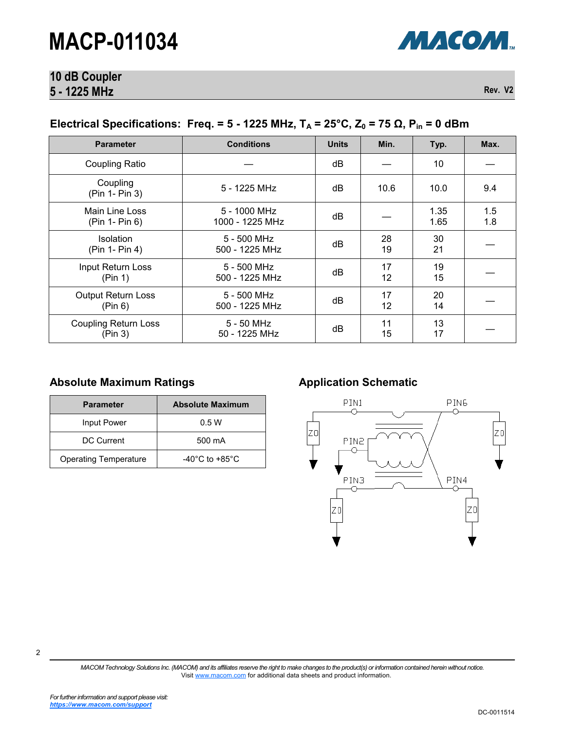

# **10 dB Coupler 5 - 1225 MHz**

**Rev. V2**

## **Electrical Specifications: Freq. = 5 - 1225 MHz,**  $T_A$  **= 25°C,**  $Z_0$  **= 75 Ω,**  $P_{in}$  **= 0 dBm**

| <b>Parameter</b>                       | <b>Conditions</b>               | <b>Units</b> | Min.     | Typ.         | Max.       |
|----------------------------------------|---------------------------------|--------------|----------|--------------|------------|
| Coupling Ratio                         |                                 | dB           |          | 10           |            |
| Coupling<br>(Pin 1- Pin 3)             | 5 - 1225 MHz                    | dB           | 10.6     | 10.0         | 9.4        |
| Main Line Loss<br>(Pin 1- Pin 6)       | 5 - 1000 MHz<br>1000 - 1225 MHz | dB           |          | 1.35<br>1.65 | 1.5<br>1.8 |
| <b>Isolation</b><br>(Pin 1- Pin 4)     | $5 - 500$ MHz<br>500 - 1225 MHz | dB           | 28<br>19 | 30<br>21     |            |
| Input Return Loss<br>(Pin 1)           | $5 - 500$ MHz<br>500 - 1225 MHz | dB           | 17<br>12 | 19<br>15     |            |
| <b>Output Return Loss</b><br>(Pin 6)   | $5 - 500$ MHz<br>500 - 1225 MHz | dB           | 17<br>12 | 20<br>14     |            |
| <b>Coupling Return Loss</b><br>(Pin 3) | 5 - 50 MHz<br>50 - 1225 MHz     | dB           | 11<br>15 | 13<br>17     |            |

### Absolute Maximum Ratings **Allemantic Application Schematic**

| <b>Parameter</b>             | <b>Absolute Maximum</b>              |  |  |
|------------------------------|--------------------------------------|--|--|
| Input Power                  | 0.5W                                 |  |  |
| DC Current                   | 500 mA                               |  |  |
| <b>Operating Temperature</b> | -40 $^{\circ}$ C to +85 $^{\circ}$ C |  |  |



*MACOM Technology Solutions Inc. (MACOM) and its affiliates reserve the right to make changes to the product(s) or information contained herein without notice.*  Visit [www.macom.com](http://www.macom.com/) for additional data sheets and product information.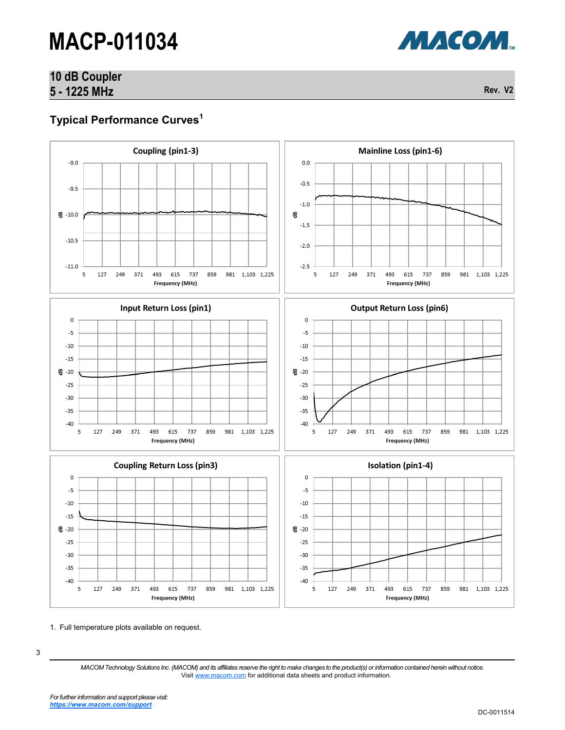# **10 dB Coupler 5 - 1225 MHz**

**Rev. V2**

МАСОМ.

# **Typical Performance Curves<sup>1</sup>**



1. Full temperature plots available on request.

3

*MACOM Technology Solutions Inc. (MACOM) and its affiliates reserve the right to make changes to the product(s) or information contained herein without notice.*  Visit [www.macom.com](http://www.macom.com/) for additional data sheets and product information.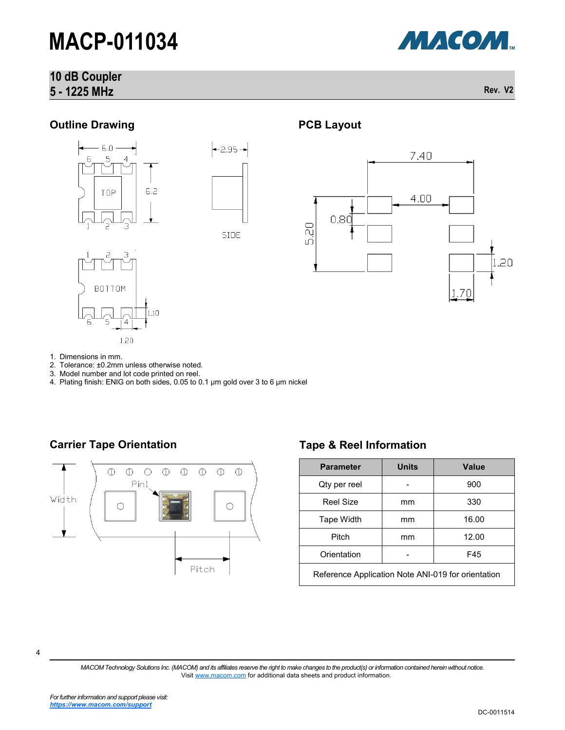# **10 dB Coupler 5 - 1225 MHz**



**Rev. V2**

## **Outline Drawing**









- 1. Dimensions in mm.
- 2. Tolerance: ±0.2mm unless otherwise noted.
- 3. Model number and lot code printed on reel.
- 4. Plating finish: ENIG on both sides, 0.05 to 0.1 µm gold over 3 to 6 µm nickel

### **Carrier Tape Orientation Tape & Reel Information**



**PCB Layout**

| <b>Parameter</b>                                   | <b>Units</b> | Value |  |  |
|----------------------------------------------------|--------------|-------|--|--|
| Qty per reel                                       |              | 900   |  |  |
| Reel Size                                          | mm           | 330   |  |  |
| Tape Width                                         | mm           | 16.00 |  |  |
| Pitch                                              | mm           | 12.00 |  |  |
| Orientation                                        |              | F45   |  |  |
| Reference Application Note ANI-019 for orientation |              |       |  |  |

4

*MACOM Technology Solutions Inc. (MACOM) and its affiliates reserve the right to make changes to the product(s) or information contained herein without notice.*  Visit [www.macom.com](http://www.macom.com/) for additional data sheets and product information.